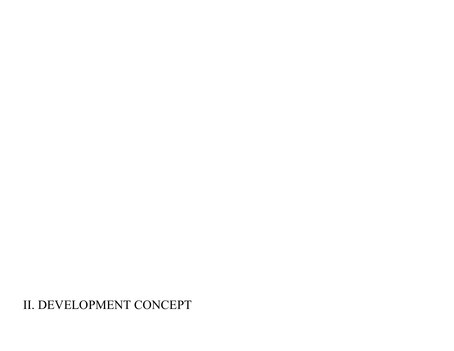# II. DEVELOPMENT CONCEPT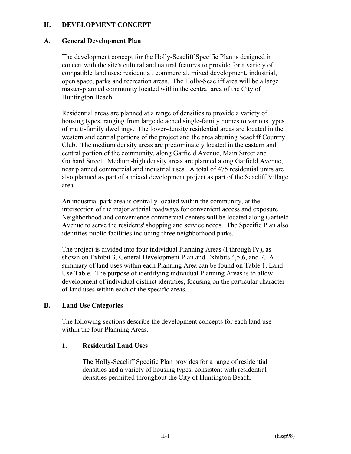### **II. DEVELOPMENT CONCEPT**

### **A. General Development Plan**

The development concept for the Holly-Seacliff Specific Plan is designed in concert with the site's cultural and natural features to provide for a variety of compatible land uses: residential, commercial, mixed development, industrial, open space, parks and recreation areas. The Holly-Seacliff area will be a large master-planned community located within the central area of the City of Huntington Beach.

Residential areas are planned at a range of densities to provide a variety of housing types, ranging from large detached single-family homes to various types of multi-family dwellings. The lower-density residential areas are located in the western and central portions of the project and the area abutting Seacliff Country Club. The medium density areas are predominately located in the eastern and central portion of the community, along Garfield Avenue, Main Street and Gothard Street. Medium-high density areas are planned along Garfield Avenue, near planned commercial and industrial uses. A total of 475 residential units are also planned as part of a mixed development project as part of the Seacliff Village area.

An industrial park area is centrally located within the community, at the intersection of the major arterial roadways for convenient access and exposure. Neighborhood and convenience commercial centers will be located along Garfield Avenue to serve the residents' shopping and service needs. The Specific Plan also identifies public facilities including three neighborhood parks.

The project is divided into four individual Planning Areas (I through IV), as shown on Exhibit 3, General Development Plan and Exhibits 4,5,6, and 7. A summary of land uses within each Planning Area can be found on Table 1, Land Use Table. The purpose of identifying individual Planning Areas is to allow development of individual distinct identities, focusing on the particular character of land uses within each of the specific areas.

### **B. Land Use Categories**

The following sections describe the development concepts for each land use within the four Planning Areas.

### **1. Residential Land Uses**

The Holly-Seacliff Specific Plan provides for a range of residential densities and a variety of housing types, consistent with residential densities permitted throughout the City of Huntington Beach.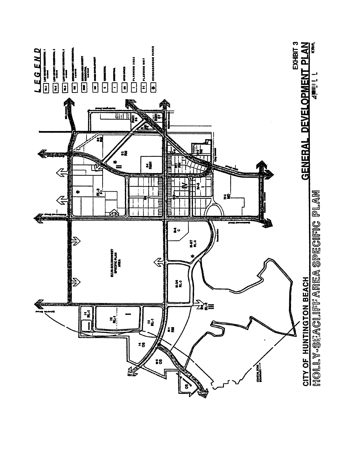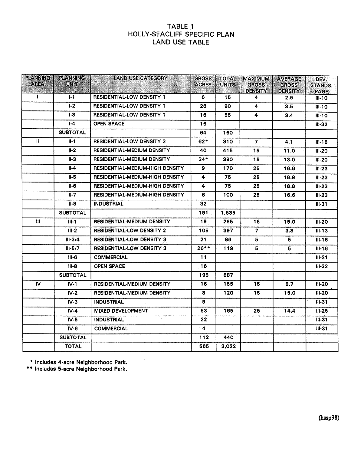### TABLE 1 HOLLY-SEACLIFF SPECIFIC PLAN **LAND USE TABLE**

| <b>PLANNING</b> | <b>PLANNING</b> | <b>LAND USE CATEGORY</b>               | <b>GROSS</b> | <b>TOTAL</b> | <b>MAXIMUM</b>                 | <b>AVERAGE</b>                 | DEV.                     |
|-----------------|-----------------|----------------------------------------|--------------|--------------|--------------------------------|--------------------------------|--------------------------|
| <b>AREA</b>     | <b>UNIT</b>     |                                        | <b>ACRES</b> | <b>UNITS</b> | <b>GROSS</b><br><b>DENSITY</b> | <b>GROSS</b><br><b>DENSITY</b> | <b>STANDS.</b><br>(PAGE) |
| $\mathbf{I}$    | $1-1$           | <b>RESIDENTIAL-LOW DENSITY 1</b>       | 6            | 15           | 4                              | 2.5                            | $III-10$                 |
|                 | L <sub>2</sub>  | <b>RESIDENTIAL-LOW DENSITY 1</b>       | 26           | 90           | $\overline{\mathbf{4}}$        | 3.5                            | $III-10$                 |
|                 | $1-3$           | <b>RESIDENTIAL-LOW DENSITY 1</b>       | 16           | 55           | 4                              | 3.4                            | $III-10$                 |
|                 | $1-4$           | <b>OPEN SPACE</b>                      | 16           |              |                                |                                | $III-32$                 |
|                 | <b>SUBTOTAL</b> |                                        | 64           | 160          |                                |                                |                          |
| $\mathbf{u}$    | $H-1$           | <b>RESIDENTIAL-LOW DENSITY 3</b>       | $62*$        | 310          | $\overline{7}$                 | 4.1                            | $III - 16$               |
|                 | $II-2$          | RESIDENTIAL-MEDIUM DENSITY             | 40           | 415          | 15                             | 11.0                           | $II-20$                  |
|                 | $II-3$          | <b>RESIDENTIAL-MEDIUM DENSITY</b>      | $34*$        | 390          | 15                             | 13.0                           | $II-20$                  |
|                 | $II-4$          | RESIDENTIAL-MEDIUM-HIGH DENSITY        | 9            | 170          | 25                             | 16.6                           | $III-23$                 |
|                 | $II-5$          | RESIDENTIAL-MEDIUM-HIGH DENSITY        | 4            | 75           | 25                             | 18.8                           | $II - 23$                |
|                 | $II-6$          | <b>RESIDENTIAL-MEDIUM-HIGH DENSITY</b> | 4            | 75           | 25                             | 18.8                           | $III-23$                 |
|                 | $II-7$          | RESIDENTIAL-MEDIUM-HIGH DENSITY        | 6            | 100          | 25                             | 16.6                           | $III-23$                 |
|                 | $II - B$        | <b>INDUSTRIAL</b>                      | 32           |              |                                |                                | $III - 31$               |
|                 | <b>SUBTOTAL</b> |                                        | 191          | 1.535        |                                |                                |                          |
| Ħ               | $III-1$         | RESIDENTIAL-MEDIUM DENSITY             | 19           | 285          | 15                             | 15.0                           | $II-20$                  |
|                 | $III-2$         | <b>RESIDENTIAL-LOW DENSITY 2</b>       | 105          | 397          | $\overline{\mathbf{z}}$        | 3.8                            | $III-13$                 |
|                 | $III - 3/4$     | <b>RESIDENTIAL-LOW DENSITY 3</b>       | 21           | 86           | 5                              | 5                              | $III - 16$               |
|                 | $III - 5/7$     | <b>RESIDENTIAL-LOW DENSITY 3</b>       | $26***$      | 119          | $\overline{5}$                 | 5                              | $III-16$                 |
|                 | $III-6$         | <b>COMMERCIAL</b>                      | 11           |              |                                |                                | $III-31$                 |
|                 | $III-8$         | <b>OPEN SPACE</b>                      | 16           |              |                                |                                | $II-32$                  |
|                 | <b>SUBTOTAL</b> |                                        | 198          | 887          |                                |                                |                          |
| IV.             | $IV-1$          | <b>RESIDENTIAL-MEDIUM DENSITY</b>      | 16           | 155          | 15                             | 9.7                            | $III-20$                 |
|                 | $IV-2$          | <b>RESIDENTIAL-MEDIUM DENSITY</b>      | 8            | 120          | 15                             | 15.0                           | $II - 20$                |
|                 | $IV-3$          | <b>INDUSTRIAL</b>                      | 9            |              |                                |                                | $III - 31$               |
|                 | $IV-4$          | <b>MIXED DEVELOPMENT</b>               | 53           | 165          | 25                             | 14.4                           | $III-25$                 |
|                 | $IV-5$          | <b>INDUSTRIAL</b>                      | 22           |              |                                |                                | $III - 31$               |
|                 | $IV-6$          | <b>COMMERCIAL</b>                      | 4            |              |                                |                                | $III - 31$               |
|                 | <b>SUBTOTAL</b> |                                        | 112          | 440          |                                |                                |                          |
|                 | <b>TOTAL</b>    |                                        | 565          | 3,022        |                                |                                |                          |

\* Includes 4-acre Neighborhood Park.<br>\*\* Includes 5-acre Neighborhood Park.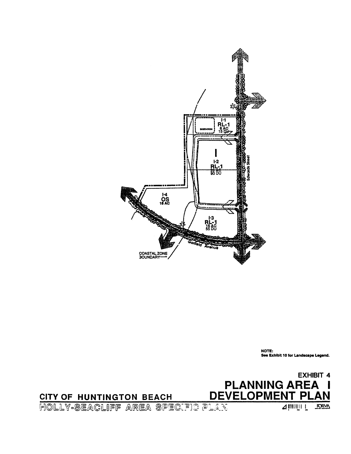



NOTE: See Exhibit 10 for Landscape Legend.

FORM

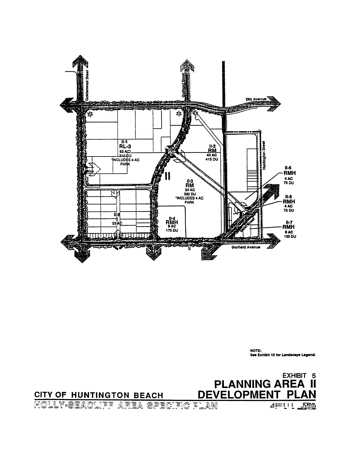

NOTE: See Exhibit 10 for Landscape Legend.

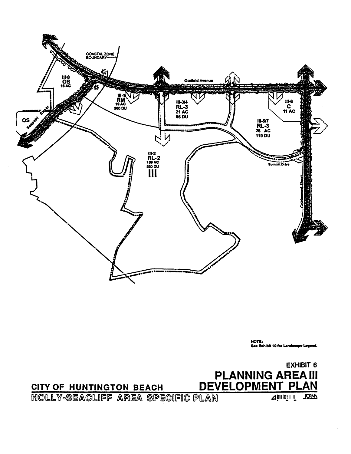

NOTE:<br>See Exhibit 10 for Landscape Lagend.

CITY OF HUNTINGTON BEACH

**EXHIBIT 6 PLANNING AREA III** DEVELOPMENT PLAN

HOLLY-SEACLIFF AREA SPECIFIC PLAN

**A MILLITT RORM**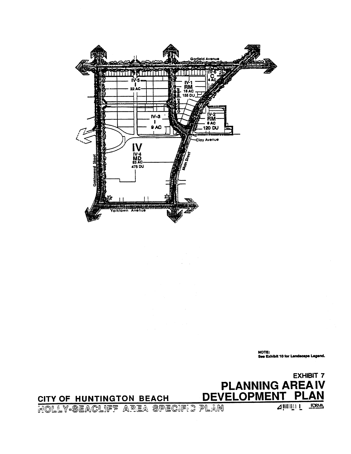

NOTE:<br>See Exhibit 10 for Landscape Legend.

## **EXHIBIT 7 PLANNING AREAIV** DEVELOPMENT PLAN

HOLLY-SEACLIFF AREA SPECIFIC PLAN

CITY OF HUNTINGTON BEACH

4 MUILLI FORM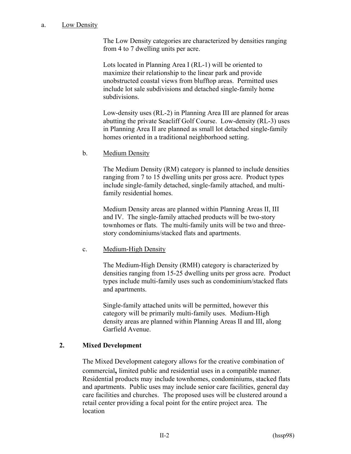### a. Low Density

The Low Density categories are characterized by densities ranging from 4 to 7 dwelling units per acre.

Lots located in Planning Area I (RL-1) will be oriented to maximize their relationship to the linear park and provide unobstructed coastal views from blufftop areas. Permitted uses include lot sale subdivisions and detached single-family home subdivisions.

Low-density uses (RL-2) in Planning Area III are planned for areas abutting the private Seacliff Golf Course. Low-density (RL-3) uses in Planning Area II are planned as small lot detached single-family homes oriented in a traditional neighborhood setting.

b. Medium Density

The Medium Density (RM) category is planned to include densities ranging from 7 to 15 dwelling units per gross acre. Product types include single-family detached, single-family attached, and multifamily residential homes.

Medium Density areas are planned within Planning Areas II, III and IV. The single-family attached products will be two-story townhomes or flats. The multi-family units will be two and threestory condominiums/stacked flats and apartments.

### c. Medium-High Density

The Medium-High Density (RMH) category is characterized by densities ranging from 15-25 dwelling units per gross acre. Product types include multi-family uses such as condominium/stacked flats and apartments.

Single-family attached units will be permitted, however this category will be primarily multi-family uses. Medium-High density areas are planned within Planning Areas II and III, along Garfield Avenue.

### **2. Mixed Development**

The Mixed Development category allows for the creative combination of commercial**,** limited public and residential uses in a compatible manner. Residential products may include townhomes, condominiums, stacked flats and apartments. Public uses may include senior care facilities, general day care facilities and churches.The proposed uses will be clustered around a retail center providing a focal point for the entire project area. The location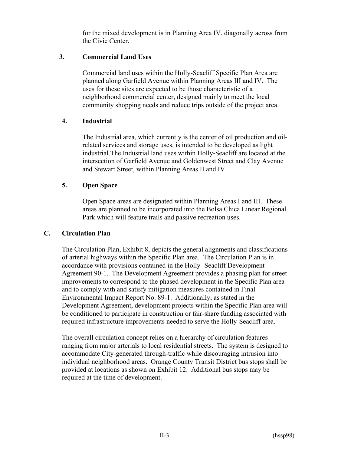for the mixed development is in Planning Area IV, diagonally across from the Civic Center.

### **3. Commercial Land Uses**

Commercial land uses within the Holly-Seacliff Specific Plan Area are planned along Garfield Avenue within Planning Areas III and IV. The uses for these sites are expected to be those characteristic of a neighborhood commercial center, designed mainly to meet the local community shopping needs and reduce trips outside of the project area.

### **4. Industrial**

The Industrial area, which currently is the center of oil production and oilrelated services and storage uses, is intended to be developed as light industrial.The Industrial land uses within Holly-Seacliff are located at the intersection of Garfield Avenue and Goldenwest Street and Clay Avenue and Stewart Street, within Planning Areas II and IV.

### **5. Open Space**

Open Space areas are designated within Planning Areas I and III. These areas are planned to be incorporated into the Bolsa Chica Linear Regional Park which will feature trails and passive recreation uses.

### **C. Circulation Plan**

The Circulation Plan, Exhibit 8, depicts the general alignments and classifications of arterial highways within the Specific Plan area. The Circulation Plan is in accordance with provisions contained in the Holly- Seacliff Development Agreement 90-1. The Development Agreement provides a phasing plan for street improvements to correspond to the phased development in the Specific Plan area and to comply with and satisfy mitigation measures contained in Final Environmental Impact Report No. 89-1. Additionally, as stated in the Development Agreement, development projects within the Specific Plan area will be conditioned to participate in construction or fair-share funding associated with required infrastructure improvements needed to serve the Holly-Seacliff area.

The overall circulation concept relies on a hierarchy of circulation features ranging from major arterials to local residential streets. The system is designed to accommodate City-generated through-traffic while discouraging intrusion into individual neighborhood areas. Orange County Transit District bus stops shall be provided at locations as shown on Exhibit 12. Additional bus stops may be required at the time of development.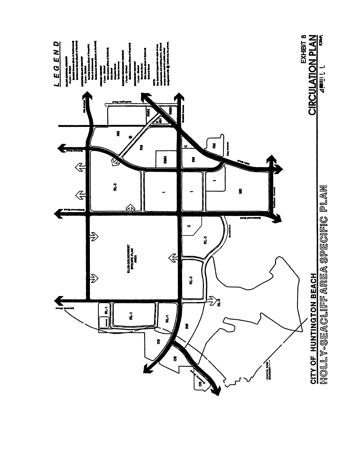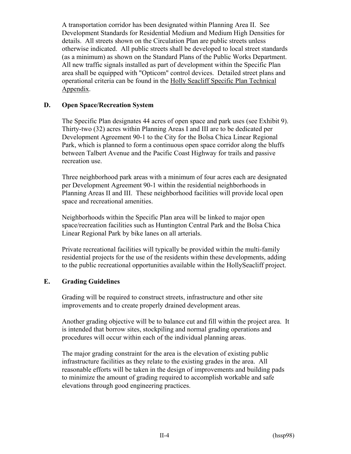A transportation corridor has been designated within Planning Area II. See Development Standards for Residential Medium and Medium High Densities for details. All streets shown on the Circulation Plan are public streets unless otherwise indicated. All public streets shall be developed to local street standards (as a minimum) as shown on the Standard Plans of the Public Works Department. All new traffic signals installed as part of development within the Specific Plan area shall be equipped with "Opticom" control devices. Detailed street plans and operational criteria can be found in the Holly Seacliff Specific Plan Technical Appendix.

### **D. Open Space/Recreation System**

The Specific Plan designates 44 acres of open space and park uses (see Exhibit 9). Thirty-two (32) acres within Planning Areas I and III are to be dedicated per Development Agreement 90-1 to the City for the Bolsa Chica Linear Regional Park, which is planned to form a continuous open space corridor along the bluffs between Talbert Avenue and the Pacific Coast Highway for trails and passive recreation use.

Three neighborhood park areas with a minimum of four acres each are designated per Development Agreement 90-1 within the residential neighborhoods in Planning Areas II and III. These neighborhood facilities will provide local open space and recreational amenities.

Neighborhoods within the Specific Plan area will be linked to major open space/recreation facilities such as Huntington Central Park and the Bolsa Chica Linear Regional Park by bike lanes on all arterials.

Private recreational facilities will typically be provided within the multi-family residential projects for the use of the residents within these developments, adding to the public recreational opportunities available within the HollySeacliff project.

### **E. Grading Guidelines**

Grading will be required to construct streets, infrastructure and other site improvements and to create properly drained development areas.

Another grading objective will be to balance cut and fill within the project area. It is intended that borrow sites, stockpiling and normal grading operations and procedures will occur within each of the individual planning areas.

The major grading constraint for the area is the elevation of existing public infrastructure facilities as they relate to the existing grades in the area. All reasonable efforts will be taken in the design of improvements and building pads to minimize the amount of grading required to accomplish workable and safe elevations through good engineering practices.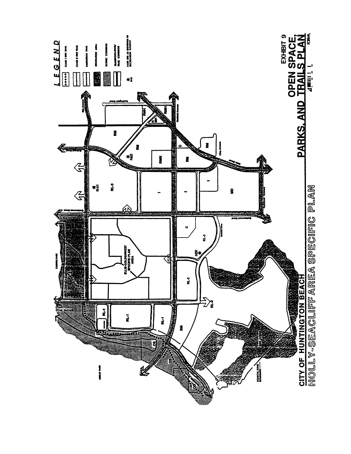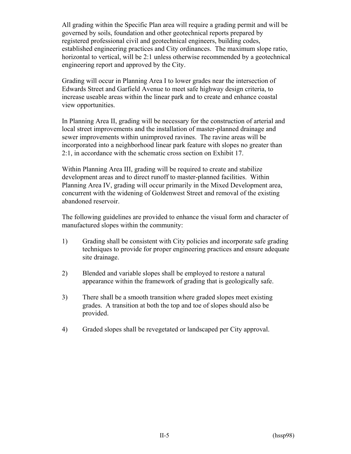All grading within the Specific Plan area will require a grading permit and will be governed by soils, foundation and other geotechnical reports prepared by registered professional civil and geotechnical engineers, building codes, established engineering practices and City ordinances. The maximum slope ratio, horizontal to vertical, will be 2:1 unless otherwise recommended by a geotechnical engineering report and approved by the City.

Grading will occur in Planning Area I to lower grades near the intersection of Edwards Street and Garfield Avenue to meet safe highway design criteria, to increase useable areas within the linear park and to create and enhance coastal view opportunities.

In Planning Area II, grading will be necessary for the construction of arterial and local street improvements and the installation of master-planned drainage and sewer improvements within unimproved ravines. The ravine areas will be incorporated into a neighborhood linear park feature with slopes no greater than 2:1, in accordance with the schematic cross section on Exhibit 17.

Within Planning Area III, grading will be required to create and stabilize development areas and to direct runoff to master-planned facilities. Within Planning Area IV, grading will occur primarily in the Mixed Development area, concurrent with the widening of Goldenwest Street and removal of the existing abandoned reservoir.

The following guidelines are provided to enhance the visual form and character of manufactured slopes within the community:

- 1) Grading shall be consistent with City policies and incorporate safe grading techniques to provide for proper engineering practices and ensure adequate site drainage.
- 2) Blended and variable slopes shall be employed to restore a natural appearance within the framework of grading that is geologically safe.
- 3) There shall be a smooth transition where graded slopes meet existing grades. A transition at both the top and toe of slopes should also be provided.
- 4) Graded slopes shall be revegetated or landscaped per City approval.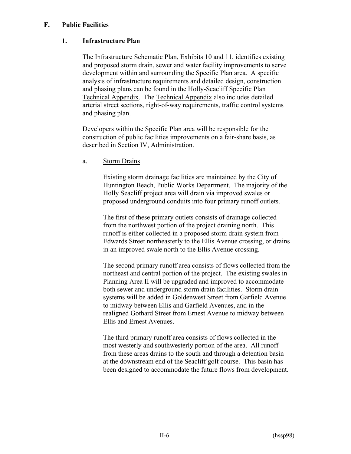### **F. Public Facilities**

### **1. Infrastructure Plan**

The Infrastructure Schematic Plan, Exhibits 10 and 11, identifies existing and proposed storm drain, sewer and water facility improvements to serve development within and surrounding the Specific Plan area. A specific analysis of infrastructure requirements and detailed design, construction and phasing plans can be found in the Holly-Seacliff Specific Plan Technical Appendix. The Technical Appendix also includes detailed arterial street sections, right-of-way requirements, traffic control systems and phasing plan.

Developers within the Specific Plan area will be responsible for the construction of public facilities improvements on a fair-share basis, as described in Section IV, Administration.

a. Storm Drains

Existing storm drainage facilities are maintained by the City of Huntington Beach, Public Works Department. The majority of the Holly Seacliff project area will drain via improved swales or proposed underground conduits into four primary runoff outlets.

The first of these primary outlets consists of drainage collected from the northwest portion of the project draining north. This runoff is either collected in a proposed storm drain system from Edwards Street northeasterly to the Ellis Avenue crossing, or drains in an improved swale north to the Ellis Avenue crossing.

The second primary runoff area consists of flows collected from the northeast and central portion of the project. The existing swales in Planning Area II will be upgraded and improved to accommodate both sewer and underground storm drain facilities. Storm drain systems will be added in Goldenwest Street from Garfield Avenue to midway between Ellis and Garfield Avenues, and in the realigned Gothard Street from Ernest Avenue to midway between Ellis and Ernest Avenues.

The third primary runoff area consists of flows collected in the most westerly and southwesterly portion of the area. All runoff from these areas drains to the south and through a detention basin at the downstream end of the Seacliff golf course. This basin has been designed to accommodate the future flows from development.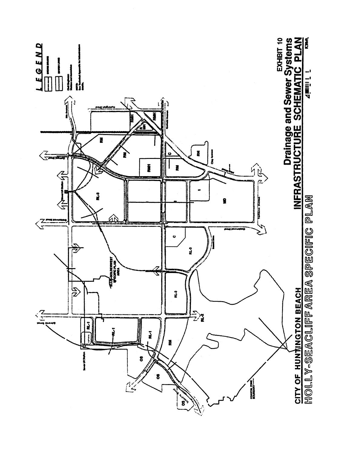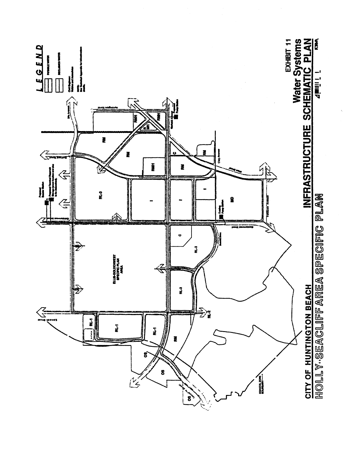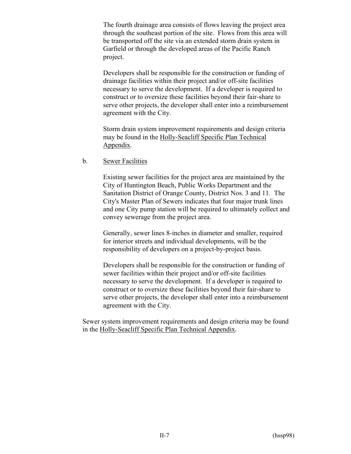The fourth drainage area consists of flows leaving the project area through the southeast portion of the site. Flows from this area will be transported off the site via an extended storm drain system in Garfield or through the developed areas of the Pacific Ranch project.

Developers shall be responsible for the construction or funding of drainage facilities within their project and/or off-site facilities necessary to serve the development. If a developer is required to construct or to oversize these facilities beyond their fair-share to serve other projects, the developer shall enter into a reimbursement agreement with the City.

Storm drain system improvement requirements and design criteria may be found in the Holly-Seacliff Specific Plan Technical Appendix.

b. Sewer Facilities

Existing sewer facilities for the project area are maintained by the City of Huntington Beach, Public Works Department and the Sanitation District of Orange County, District Nos. 3 and 11. The City's Master Plan of Sewers indicates that four major trunk lines and one City pump station will be required to ultimately collect and convey sewerage from the project area.

Generally, sewer lines 8-inches in diameter and smaller, required for interior streets and individual developments, will be the responsibility of developers on a project-by-project basis.

Developers shall be responsible for the construction or funding of sewer facilities within their project and/or off-site facilities necessary to serve the development. If a developer is required to construct or to oversize these facilities beyond their fair-share to serve other projects, the developer shall enter into a reimbursement agreement with the City.

Sewer system improvement requirements and design criteria may be found in the Holly-Seacliff Specific Plan Technical Appendix.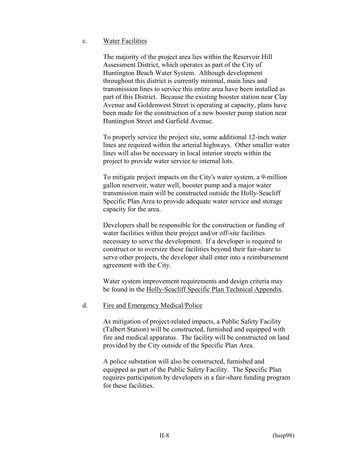### c. Water Facilities

The majority of the project area lies within the Reservoir Hill Assessment District, which operates as part of the City of Huntington Beach Water System. Although development throughout this district is currently minimal, main lines and transmission lines to service this entire area have been installed as part of this District. Because the existing booster station near Clay Avenue and Goldenwest Street is operating at capacity, plans have been made for the construction of a new booster pump station near Huntington Street and Garfield Avenue.

To properly service the project site, some additional 12-inch water lines are required within the arterial highways. Other smaller water lines will also be necessary in local interior streets within the project to provide water service to internal lots.

To mitigate project impacts on the City's water system, a 9-million gallon reservoir, water well, booster pump and a major water transmission main will be constructed outside the Holly-Seacliff Specific Plan Area to provide adequate water service and storage capacity for the area.

Developers shall be responsible for the construction or funding of water facilities within their project and/or off-site facilities necessary to serve the development. If a developer is required to construct or to oversize these facilities beyond their fair-share to serve other projects, the developer shall enter into a reimbursement agreement with the City.

Water system improvement requirements and design criteria may be found in the Holly-Seacliff Specific Plan Technical Appendix.

### d. Fire and Emergency Medical/Police

As mitigation of project-related impacts, a Public Safety Facility (Talbert Station) will be constructed, furnished and equipped with fire and medical apparatus. The facility will be constructed on land provided by the City outside of the Specific Plan Area.

A police substation will also be constructed, furnished and equipped as part of the Public Safety Facility. The Specific Plan requires participation by developers in a fair-share funding program for these facilities.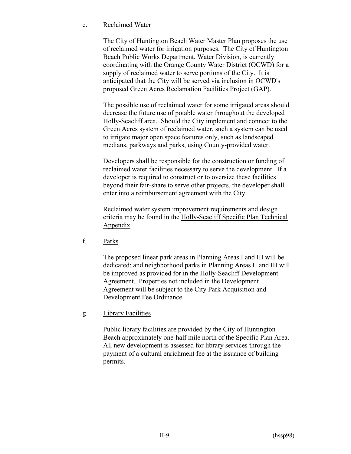### e. Reclaimed Water

The City of Huntington Beach Water Master Plan proposes the use of reclaimed water for irrigation purposes. The City of Huntington Beach Public Works Department, Water Division, is currently coordinating with the Orange County Water District (OCWD) for a supply of reclaimed water to serve portions of the City. It is anticipated that the City will be served via inclusion in OCWD's proposed Green Acres Reclamation Facilities Project (GAP).

The possible use of reclaimed water for some irrigated areas should decrease the future use of potable water throughout the developed Holly-Seacliff area. Should the City implement and connect to the Green Acres system of reclaimed water, such a system can be used to irrigate major open space features only, such as landscaped medians, parkways and parks, using County-provided water.

Developers shall be responsible for the construction or funding of reclaimed water facilities necessary to serve the development. If a developer is required to construct or to oversize these facilities beyond their fair-share to serve other projects, the developer shall enter into a reimbursement agreement with the City.

Reclaimed water system improvement requirements and design criteria may be found in the Holly-Seacliff Specific Plan Technical Appendix.

f. Parks

The proposed linear park areas in Planning Areas I and III will be dedicated; and neighborhood parks in Planning Areas II and III will be improved as provided for in the Holly-Seacliff Development Agreement. Properties not included in the Development Agreement will be subject to the City Park Acquisition and Development Fee Ordinance.

g. Library Facilities

Public library facilities are provided by the City of Huntington Beach approximately one-half mile north of the Specific Plan Area. All new development is assessed for library services through the payment of a cultural enrichment fee at the issuance of building permits.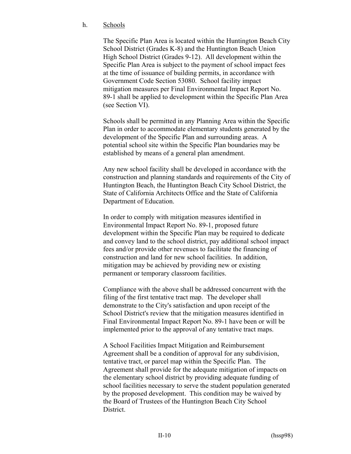### h. Schools

The Specific Plan Area is located within the Huntington Beach City School District (Grades K-8) and the Huntington Beach Union High School District (Grades 9-12). All development within the Specific Plan Area is subject to the payment of school impact fees at the time of issuance of building permits, in accordance with Government Code Section 53080. School facility impact mitigation measures per Final Environmental Impact Report No. 89-1 shall be applied to development within the Specific Plan Area (see Section VI).

Schools shall be permitted in any Planning Area within the Specific Plan in order to accommodate elementary students generated by the development of the Specific Plan and surrounding areas. A potential school site within the Specific Plan boundaries may be established by means of a general plan amendment.

Any new school facility shall be developed in accordance with the construction and planning standards and requirements of the City of Huntington Beach, the Huntington Beach City School District, the State of California Architects Office and the State of California Department of Education.

In order to comply with mitigation measures identified in Environmental Impact Report No. 89-1, proposed future development within the Specific Plan may be required to dedicate and convey land to the school district, pay additional school impact fees and/or provide other revenues to facilitate the financing of construction and land for new school facilities. In addition, mitigation may be achieved by providing new or existing permanent or temporary classroom facilities.

Compliance with the above shall be addressed concurrent with the filing of the first tentative tract map. The developer shall demonstrate to the City's satisfaction and upon receipt of the School District's review that the mitigation measures identified in Final Environmental Impact Report No. 89-1 have been or will be implemented prior to the approval of any tentative tract maps.

A School Facilities Impact Mitigation and Reimbursement Agreement shall be a condition of approval for any subdivision, tentative tract, or parcel map within the Specific Plan. The Agreement shall provide for the adequate mitigation of impacts on the elementary school district by providing adequate funding of school facilities necessary to serve the student population generated by the proposed development. This condition may be waived by the Board of Trustees of the Huntington Beach City School District.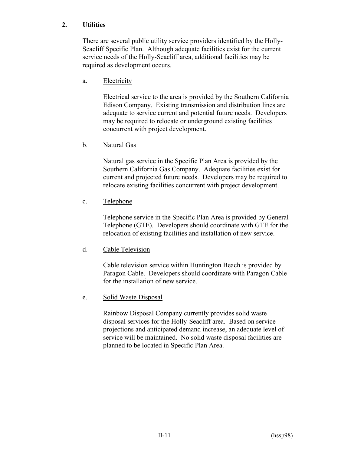### **2. Utilities**

There are several public utility service providers identified by the Holly-Seacliff Specific Plan. Although adequate facilities exist for the current service needs of the Holly-Seacliff area, additional facilities may be required as development occurs.

### a. Electricity

Electrical service to the area is provided by the Southern California Edison Company. Existing transmission and distribution lines are adequate to service current and potential future needs. Developers may be required to relocate or underground existing facilities concurrent with project development.

### b. Natural Gas

Natural gas service in the Specific Plan Area is provided by the Southern California Gas Company. Adequate facilities exist for current and projected future needs. Developers may be required to relocate existing facilities concurrent with project development.

### c. Telephone

Telephone service in the Specific Plan Area is provided by General Telephone (GTE). Developers should coordinate with GTE for the relocation of existing facilities and installation of new service.

### d. Cable Television

Cable television service within Huntington Beach is provided by Paragon Cable. Developers should coordinate with Paragon Cable for the installation of new service.

### e. Solid Waste Disposal

Rainbow Disposal Company currently provides solid waste disposal services for the Holly-Seacliff area. Based on service projections and anticipated demand increase, an adequate level of service will be maintained. No solid waste disposal facilities are planned to be located in Specific Plan Area.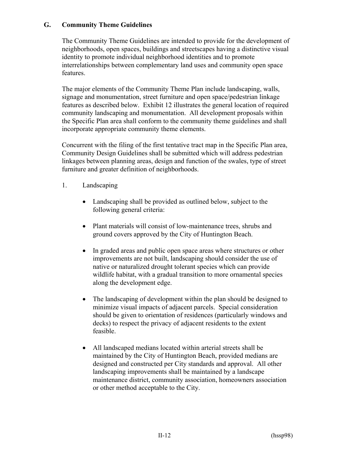### **G. Community Theme Guidelines**

The Community Theme Guidelines are intended to provide for the development of neighborhoods, open spaces, buildings and streetscapes having a distinctive visual identity to promote individual neighborhood identities and to promote interrelationships between complementary land uses and community open space features.

The major elements of the Community Theme Plan include landscaping, walls, signage and monumentation, street furniture and open space/pedestrian linkage features as described below. Exhibit 12 illustrates the general location of required community landscaping and monumentation. All development proposals within the Specific Plan area shall conform to the community theme guidelines and shall incorporate appropriate community theme elements.

Concurrent with the filing of the first tentative tract map in the Specific Plan area, Community Design Guidelines shall be submitted which will address pedestrian linkages between planning areas, design and function of the swales, type of street furniture and greater definition of neighborhoods.

- 1. Landscaping
	- Landscaping shall be provided as outlined below, subject to the following general criteria:
	- Plant materials will consist of low-maintenance trees, shrubs and ground covers approved by the City of Huntington Beach.
	- In graded areas and public open space areas where structures or other improvements are not built, landscaping should consider the use of native or naturalized drought tolerant species which can provide wildlife habitat, with a gradual transition to more ornamental species along the development edge.
	- The landscaping of development within the plan should be designed to minimize visual impacts of adjacent parcels. Special consideration should be given to orientation of residences (particularly windows and decks) to respect the privacy of adjacent residents to the extent feasible.
	- All landscaped medians located within arterial streets shall be maintained by the City of Huntington Beach, provided medians are designed and constructed per City standards and approval. All other landscaping improvements shall be maintained by a landscape maintenance district, community association, homeowners association or other method acceptable to the City.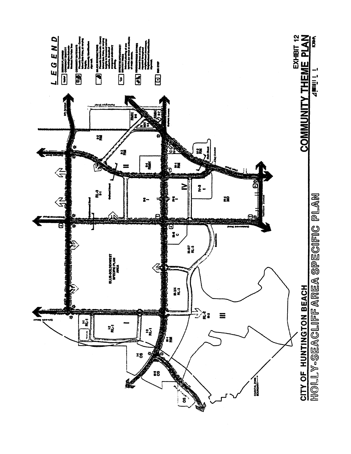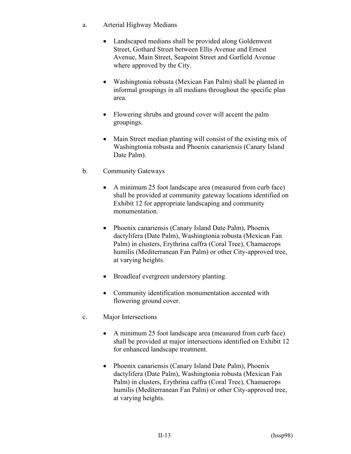- a. Arterial Highway Medians
	- Landscaped medians shall be provided along Goldenwest Street, Gothard Street between Ellis Avenue and Ernest Avenue, Main Street, Seapoint Street and Garfield Avenue where approved by the City.
	- Washingtonia robusta (Mexican Fan Palm) shall be planted in informal groupings in all medians throughout the specific plan area.
	- Flowering shrubs and ground cover will accent the palm groupings.
	- Main Street median planting will consist of the existing mix of Washingtonia robusta and Phoenix canariensis (Canary Island Date Palm).
- b. Community Gateways
	- A minimum 25 foot landscape area (measured from curb face) shall be provided at community gateway locations identified on Exhibit 12 for appropriate landscaping and community monumentation.
	- Phoenix canariensis (Canary Island Date Palm), Phoenix dactylifera (Date Palm), Washingtonia robusta (Mexican Fan Palm) in clusters, Erythrina caffra (Coral Tree), Chamaerops humilis (Mediterranean Fan Palm) or other City-approved tree, at varying heights.
	- Broadleaf evergreen understory planting.
	- Community identification monumentation accented with flowering ground cover.
- c. Major Intersections
	- A minimum 25 foot landscape area (measured from curb face) shall be provided at major intersections identified on Exhibit 12 for enhanced landscape treatment.
	- Phoenix canariensis (Canary Island Date Palm), Phoenix dactylifera (Date Palm), Washingtonia robusta (Mexican Fan Palm) in clusters, Erythrina caffra (Coral Tree), Chamaerops humilis (Mediterranean Fan Palm) or other City-approved tree, at varying heights.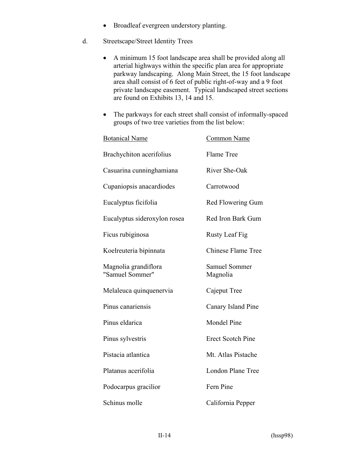- Broadleaf evergreen understory planting.
- d. Streetscape/Street Identity Trees
	- A minimum 15 foot landscape area shall be provided along all arterial highways within the specific plan area for appropriate parkway landscaping. Along Main Street, the 15 foot landscape area shall consist of 6 feet of public right-of-way and a 9 foot private landscape easement. Typical landscaped street sections are found on Exhibits 13, 14 and 15.
	- The parkways for each street shall consist of informally-spaced groups of two tree varieties from the list below:

| <b>Botanical Name</b>                   | <b>Common Name</b>               |  |  |  |
|-----------------------------------------|----------------------------------|--|--|--|
| <b>Brachychiton acerifolius</b>         | Flame Tree                       |  |  |  |
| Casuarina cunninghamiana                | River She-Oak                    |  |  |  |
| Cupaniopsis anacardiodes                | Carrotwood                       |  |  |  |
| Eucalyptus ficifolia                    | Red Flowering Gum                |  |  |  |
| Eucalyptus sideroxylon rosea            | Red Iron Bark Gum                |  |  |  |
| Ficus rubiginosa                        | <b>Rusty Leaf Fig</b>            |  |  |  |
| Koelreuteria bipinnata                  | <b>Chinese Flame Tree</b>        |  |  |  |
| Magnolia grandiflora<br>"Samuel Sommer" | <b>Samuel Sommer</b><br>Magnolia |  |  |  |
| Melaleuca quinquenervia                 | Cajeput Tree                     |  |  |  |
| Pinus canariensis                       | Canary Island Pine               |  |  |  |
| Pinus eldarica                          | <b>Mondel Pine</b>               |  |  |  |
| Pinus sylvestris                        | <b>Erect Scotch Pine</b>         |  |  |  |
| Pistacia atlantica                      | Mt. Atlas Pistache               |  |  |  |
| Platanus acerifolia                     | London Plane Tree                |  |  |  |
| Podocarpus gracilior                    | Fern Pine                        |  |  |  |
| Schinus molle                           | California Pepper                |  |  |  |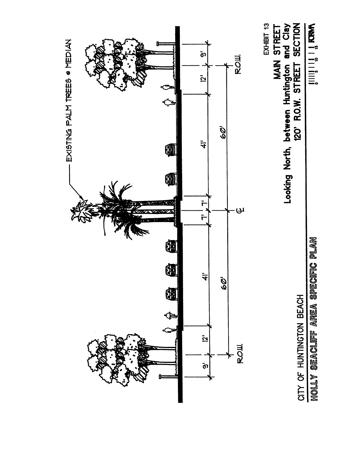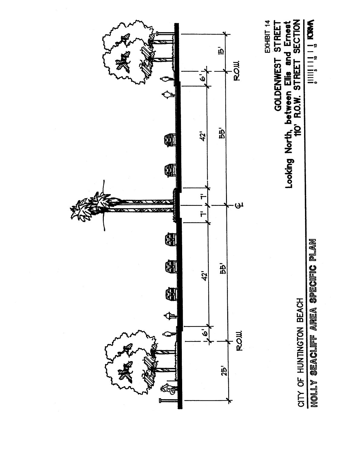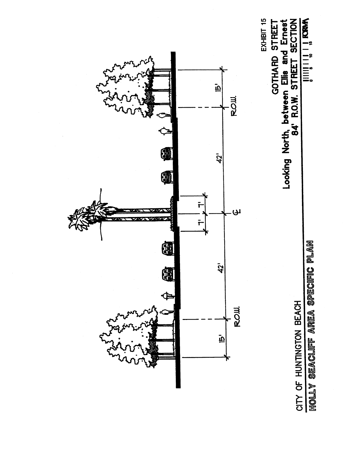# **SECTION**

HOLLY SEACLIFF AREA SPECIFIC PLAN CITY OF HUNTINGTON BEACH

Looking North, between Ellis and Ernest<br>84' R.O.W. STREET SECTION GOTHARD STREET

EXHIBIT 15

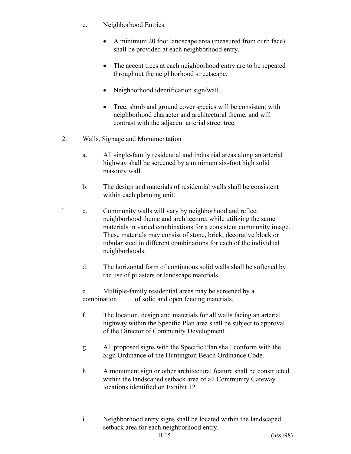- e. Neighborhood Entries
	- A minimum 20 foot landscape area (measured from curb face) shall be provided at each neighborhood entry.
	- The accent trees at each neighborhood entry are to be repeated throughout the neighborhood streetscape.
	- Neighborhood identification sign/wall.
	- Tree, shrub and ground cover species will be consistent with neighborhood character and architectural theme, and will contrast with the adjacent arterial street tree.
- 2. Walls, Signage and Monumentation
	- a. All single-family residential and industrial areas along an arterial highway shall be screened by a minimum six-foot high solid masonry wall.
	- b. The design and materials of residential walls shall be consistent within each planning unit.
	- c. Community walls will vary by neighborhood and reflect neighborhood theme and architecture, while utilizing the same materials in varied combinations for a consistent community image. These materials may consist of stone, brick, decorative block or tubular steel in different combinations for each of the individual neighborhoods.
	- d. The horizontal form of continuous solid walls shall be softened by the use of pilasters or landscape materials.

e. Multiple-family residential areas may be screened by a combination of solid and open fencing materials.

- f. The location, design and materials for all walls facing an arterial highway within the Specific Plan area shall be subject to approval of the Director of Community Development.
- g. All proposed signs with the Specific Plan shall conform with the Sign Ordinance of the Huntington Beach Ordinance Code.
- h. A monument sign or other architectural feature shall be constructed within the landscaped setback area of all Community Gateway locations identified on Exhibit 12.
- i. Neighborhood entry signs shall be located within the landscaped setback area for each neighborhood entry.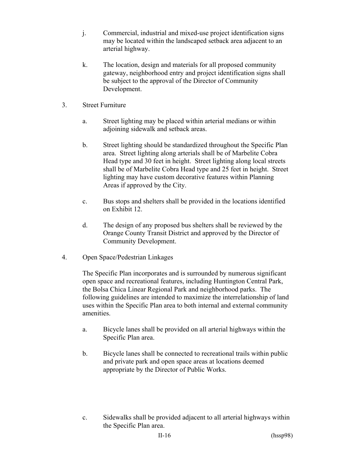- j. Commercial, industrial and mixed-use project identification signs may be located within the landscaped setback area adjacent to an arterial highway.
- k. The location, design and materials for all proposed community gateway, neighborhood entry and project identification signs shall be subject to the approval of the Director of Community Development.
- 3. Street Furniture
	- a. Street lighting may be placed within arterial medians or within adjoining sidewalk and setback areas.
	- b. Street lighting should be standardized throughout the Specific Plan area. Street lighting along arterials shall be of Marbelite Cobra Head type and 30 feet in height. Street lighting along local streets shall be of Marbelite Cobra Head type and 25 feet in height. Street lighting may have custom decorative features within Planning Areas if approved by the City.
	- c. Bus stops and shelters shall be provided in the locations identified on Exhibit 12.
	- d. The design of any proposed bus shelters shall be reviewed by the Orange County Transit District and approved by the Director of Community Development.
- 4. Open Space/Pedestrian Linkages

The Specific Plan incorporates and is surrounded by numerous significant open space and recreational features, including Huntington Central Park, the Bolsa Chica Linear Regional Park and neighborhood parks. The following guidelines are intended to maximize the interrelationship of land uses within the Specific Plan area to both internal and external community amenities.

- a. Bicycle lanes shall be provided on all arterial highways within the Specific Plan area.
- b. Bicycle lanes shall be connected to recreational trails within public and private park and open space areas at locations deemed appropriate by the Director of Public Works.
- c. Sidewalks shall be provided adjacent to all arterial highways within the Specific Plan area.